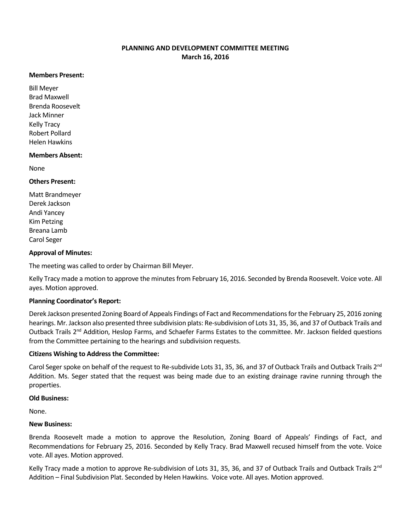# **PLANNING AND DEVELOPMENT COMMITTEE MEETING March 16, 2016**

#### **Members Present:**

Bill Meyer Brad Maxwell Brenda Roosevelt Jack Minner Kelly Tracy Robert Pollard Helen Hawkins

# **Members Absent:**

None

## **Others Present:**

Matt Brandmeyer Derek Jackson Andi Yancey Kim Petzing Breana Lamb Carol Seger

### **Approval of Minutes:**

The meeting was called to order by Chairman Bill Meyer.

Kelly Tracy made a motion to approve the minutes from February 16, 2016. Seconded by Brenda Roosevelt. Voice vote. All ayes. Motion approved.

## **Planning Coordinator's Report:**

Derek Jackson presented Zoning Board of Appeals Findings of Fact and Recommendations for the February 25, 2016 zoning hearings. Mr. Jackson also presented three subdivision plats: Re-subdivision of Lots 31, 35, 36, and 37 of Outback Trails and Outback Trails 2<sup>nd</sup> Addition, Heslop Farms, and Schaefer Farms Estates to the committee. Mr. Jackson fielded questions from the Committee pertaining to the hearings and subdivision requests.

## **Citizens Wishing to Address the Committee:**

Carol Seger spoke on behalf of the request to Re-subdivide Lots 31, 35, 36, and 37 of Outback Trails and Outback Trails 2<sup>nd</sup> Addition. Ms. Seger stated that the request was being made due to an existing drainage ravine running through the properties.

#### **Old Business:**

None.

#### **New Business:**

Brenda Roosevelt made a motion to approve the Resolution, Zoning Board of Appeals' Findings of Fact, and Recommendations for February 25, 2016. Seconded by Kelly Tracy. Brad Maxwell recused himself from the vote. Voice vote. All ayes. Motion approved.

Kelly Tracy made a motion to approve Re-subdivision of Lots 31, 35, 36, and 37 of Outback Trails and Outback Trails  $2^{nd}$ Addition – Final Subdivision Plat. Seconded by Helen Hawkins. Voice vote. All ayes. Motion approved.